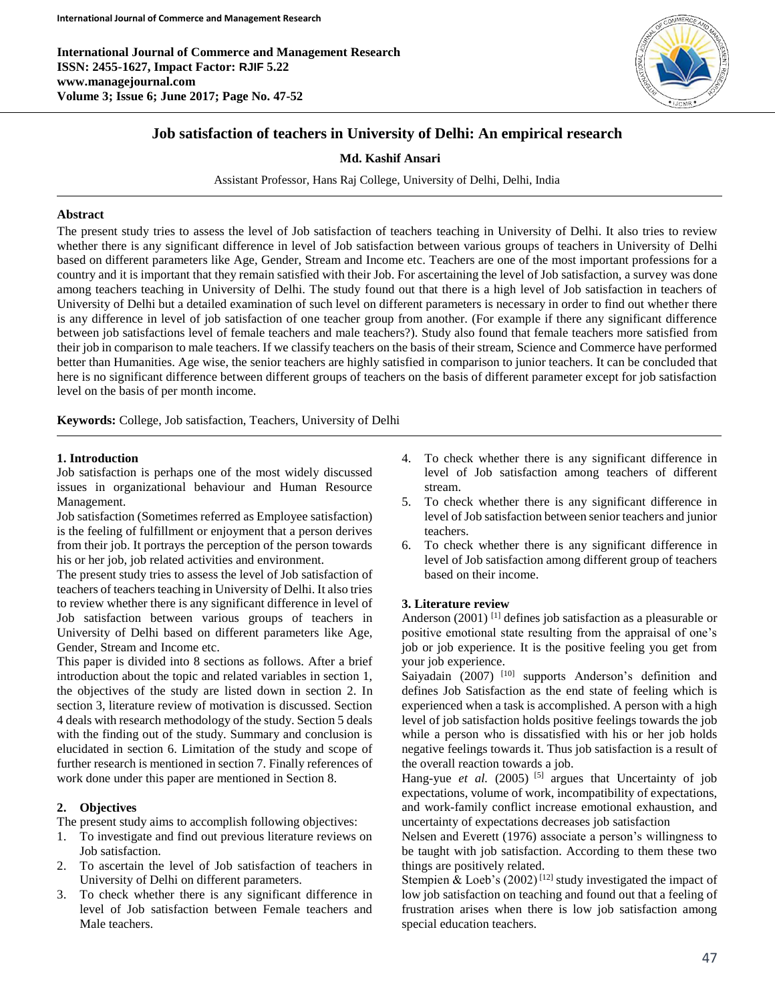**International Journal of Commerce and Management Research ISSN: 2455-1627, Impact Factor: RJIF 5.22 www.managejournal.com Volume 3; Issue 6; June 2017; Page No. 47-52**



# **Job satisfaction of teachers in University of Delhi: An empirical research**

**Md. Kashif Ansari**

Assistant Professor, Hans Raj College, University of Delhi, Delhi, India

## **Abstract**

The present study tries to assess the level of Job satisfaction of teachers teaching in University of Delhi. It also tries to review whether there is any significant difference in level of Job satisfaction between various groups of teachers in University of Delhi based on different parameters like Age, Gender, Stream and Income etc. Teachers are one of the most important professions for a country and it is important that they remain satisfied with their Job. For ascertaining the level of Job satisfaction, a survey was done among teachers teaching in University of Delhi. The study found out that there is a high level of Job satisfaction in teachers of University of Delhi but a detailed examination of such level on different parameters is necessary in order to find out whether there is any difference in level of job satisfaction of one teacher group from another. (For example if there any significant difference between job satisfactions level of female teachers and male teachers?). Study also found that female teachers more satisfied from their job in comparison to male teachers. If we classify teachers on the basis of their stream, Science and Commerce have performed better than Humanities. Age wise, the senior teachers are highly satisfied in comparison to junior teachers. It can be concluded that here is no significant difference between different groups of teachers on the basis of different parameter except for job satisfaction level on the basis of per month income.

**Keywords:** College, Job satisfaction, Teachers, University of Delhi

## **1. Introduction**

Job satisfaction is perhaps one of the most widely discussed issues in organizational behaviour and Human Resource Management.

Job satisfaction (Sometimes referred as Employee satisfaction) is the feeling of fulfillment or enjoyment that a person derives from their job. It portrays the perception of the person towards his or her job, job related activities and environment.

The present study tries to assess the level of Job satisfaction of teachers of teachers teaching in University of Delhi. It also tries to review whether there is any significant difference in level of Job satisfaction between various groups of teachers in University of Delhi based on different parameters like Age, Gender, Stream and Income etc.

This paper is divided into 8 sections as follows. After a brief introduction about the topic and related variables in section 1, the objectives of the study are listed down in section 2. In section 3, literature review of motivation is discussed. Section 4 deals with research methodology of the study. Section 5 deals with the finding out of the study. Summary and conclusion is elucidated in section 6. Limitation of the study and scope of further research is mentioned in section 7. Finally references of work done under this paper are mentioned in Section 8.

# **2. Objectives**

The present study aims to accomplish following objectives:

- 1. To investigate and find out previous literature reviews on Job satisfaction.
- 2. To ascertain the level of Job satisfaction of teachers in University of Delhi on different parameters.
- 3. To check whether there is any significant difference in level of Job satisfaction between Female teachers and Male teachers.
- 4. To check whether there is any significant difference in level of Job satisfaction among teachers of different stream.
- 5. To check whether there is any significant difference in level of Job satisfaction between senior teachers and junior teachers.
- 6. To check whether there is any significant difference in level of Job satisfaction among different group of teachers based on their income.

## **3. Literature review**

Anderson (2001)<sup>[1]</sup> defines job satisfaction as a pleasurable or positive emotional state resulting from the appraisal of one's job or job experience. It is the positive feeling you get from your job experience.

Saiyadain (2007) <sup>[10]</sup> supports Anderson's definition and defines Job Satisfaction as the end state of feeling which is experienced when a task is accomplished. A person with a high level of job satisfaction holds positive feelings towards the job while a person who is dissatisfied with his or her job holds negative feelings towards it. Thus job satisfaction is a result of the overall reaction towards a job.

Hang-yue *et al.* (2005)<sup>[5]</sup> argues that Uncertainty of job expectations, volume of work, incompatibility of expectations, and work-family conflict increase emotional exhaustion, and uncertainty of expectations decreases job satisfaction

Nelsen and Everett (1976) associate a person's willingness to be taught with job satisfaction. According to them these two things are positively related.

Stempien & Loeb's  $(2002)^{[12]}$  study investigated the impact of low job satisfaction on teaching and found out that a feeling of frustration arises when there is low job satisfaction among special education teachers.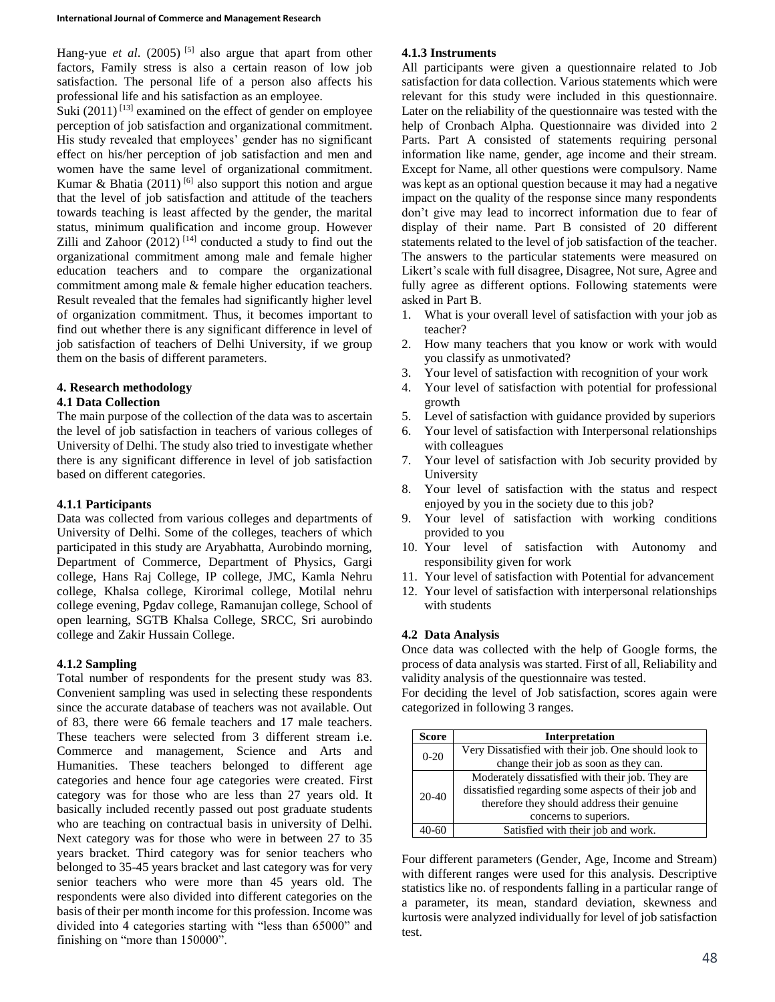Hang-yue *et al.* (2005)<sup>[5]</sup> also argue that apart from other factors, Family stress is also a certain reason of low job satisfaction. The personal life of a person also affects his professional life and his satisfaction as an employee.

Suki  $(2011)^{[13]}$  examined on the effect of gender on employee perception of job satisfaction and organizational commitment. His study revealed that employees' gender has no significant effect on his/her perception of job satisfaction and men and women have the same level of organizational commitment. Kumar & Bhatia (2011)<sup>[6]</sup> also support this notion and argue that the level of job satisfaction and attitude of the teachers towards teaching is least affected by the gender, the marital status, minimum qualification and income group. However Zilli and Zahoor  $(2012)$ <sup>[14]</sup> conducted a study to find out the organizational commitment among male and female higher education teachers and to compare the organizational commitment among male & female higher education teachers. Result revealed that the females had significantly higher level of organization commitment. Thus, it becomes important to find out whether there is any significant difference in level of job satisfaction of teachers of Delhi University, if we group them on the basis of different parameters.

# **4. Research methodology**

# **4.1 Data Collection**

The main purpose of the collection of the data was to ascertain the level of job satisfaction in teachers of various colleges of University of Delhi. The study also tried to investigate whether there is any significant difference in level of job satisfaction based on different categories.

# **4.1.1 Participants**

Data was collected from various colleges and departments of University of Delhi. Some of the colleges, teachers of which participated in this study are Aryabhatta, Aurobindo morning, Department of Commerce, Department of Physics, Gargi college, Hans Raj College, IP college, JMC, Kamla Nehru college, Khalsa college, Kirorimal college, Motilal nehru college evening, Pgdav college, Ramanujan college, School of open learning, SGTB Khalsa College, SRCC, Sri aurobindo college and Zakir Hussain College.

# **4.1.2 Sampling**

Total number of respondents for the present study was 83. Convenient sampling was used in selecting these respondents since the accurate database of teachers was not available. Out of 83, there were 66 female teachers and 17 male teachers. These teachers were selected from 3 different stream i.e. Commerce and management, Science and Arts and Humanities. These teachers belonged to different age categories and hence four age categories were created. First category was for those who are less than 27 years old. It basically included recently passed out post graduate students who are teaching on contractual basis in university of Delhi. Next category was for those who were in between 27 to 35 years bracket. Third category was for senior teachers who belonged to 35-45 years bracket and last category was for very senior teachers who were more than 45 years old. The respondents were also divided into different categories on the basis of their per month income for this profession. Income was divided into 4 categories starting with "less than 65000" and finishing on "more than 150000".

# **4.1.3 Instruments**

All participants were given a questionnaire related to Job satisfaction for data collection. Various statements which were relevant for this study were included in this questionnaire. Later on the reliability of the questionnaire was tested with the help of Cronbach Alpha. Questionnaire was divided into 2 Parts. Part A consisted of statements requiring personal information like name, gender, age income and their stream. Except for Name, all other questions were compulsory. Name was kept as an optional question because it may had a negative impact on the quality of the response since many respondents don't give may lead to incorrect information due to fear of display of their name. Part B consisted of 20 different statements related to the level of job satisfaction of the teacher. The answers to the particular statements were measured on Likert's scale with full disagree, Disagree, Not sure, Agree and fully agree as different options. Following statements were asked in Part B.

- 1. What is your overall level of satisfaction with your job as teacher?
- 2. How many teachers that you know or work with would you classify as unmotivated?
- 3. Your level of satisfaction with recognition of your work
- 4. Your level of satisfaction with potential for professional growth
- 5. Level of satisfaction with guidance provided by superiors
- 6. Your level of satisfaction with Interpersonal relationships with colleagues
- 7. Your level of satisfaction with Job security provided by University
- 8. Your level of satisfaction with the status and respect enjoyed by you in the society due to this job?
- 9. Your level of satisfaction with working conditions provided to you
- 10. Your level of satisfaction with Autonomy and responsibility given for work
- 11. Your level of satisfaction with Potential for advancement
- 12. Your level of satisfaction with interpersonal relationships with students

# **4.2 Data Analysis**

Once data was collected with the help of Google forms, the process of data analysis was started. First of all, Reliability and validity analysis of the questionnaire was tested.

For deciding the level of Job satisfaction, scores again were categorized in following 3 ranges.

| Score     | Interpretation                                       |
|-----------|------------------------------------------------------|
| $0-20$    | Very Dissatisfied with their job. One should look to |
|           | change their job as soon as they can.                |
|           | Moderately dissatisfied with their job. They are     |
| $20 - 40$ | dissatisfied regarding some aspects of their job and |
|           | therefore they should address their genuine          |
|           | concerns to superiors.                               |
|           | Satisfied with their job and work.                   |

Four different parameters (Gender, Age, Income and Stream) with different ranges were used for this analysis. Descriptive statistics like no. of respondents falling in a particular range of a parameter, its mean, standard deviation, skewness and kurtosis were analyzed individually for level of job satisfaction test.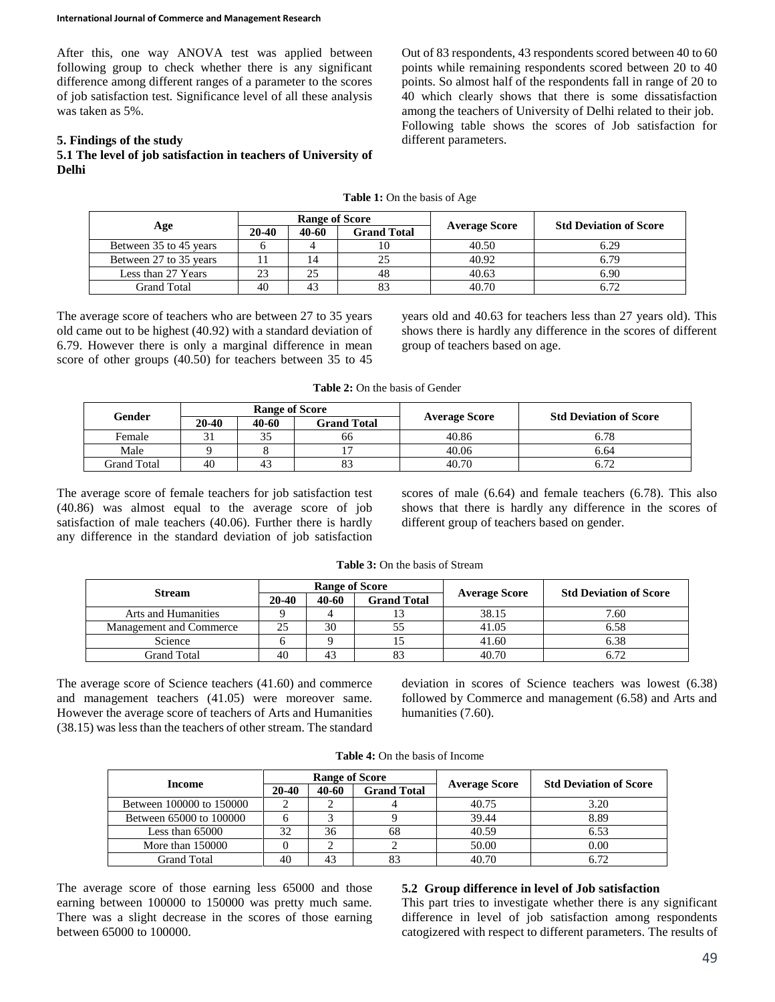After this, one way ANOVA test was applied between following group to check whether there is any significant difference among different ranges of a parameter to the scores of job satisfaction test. Significance level of all these analysis was taken as 5%.

## **5. Findings of the study**

**5.1 The level of job satisfaction in teachers of University of Delhi**

Out of 83 respondents, 43 respondents scored between 40 to 60 points while remaining respondents scored between 20 to 40 points. So almost half of the respondents fall in range of 20 to 40 which clearly shows that there is some dissatisfaction among the teachers of University of Delhi related to their job. Following table shows the scores of Job satisfaction for different parameters.

| <b>Table 1:</b> On the basis of Age |  |  |  |  |  |  |
|-------------------------------------|--|--|--|--|--|--|
|-------------------------------------|--|--|--|--|--|--|

|                        |       | <b>Range of Score</b> |                    |                      | <b>Std Deviation of Score</b> |  |
|------------------------|-------|-----------------------|--------------------|----------------------|-------------------------------|--|
| Age                    | 20-40 | 40-60                 | <b>Grand Total</b> | <b>Average Score</b> |                               |  |
| Between 35 to 45 years |       |                       |                    | 40.50                | 6.29                          |  |
| Between 27 to 35 years |       | 14                    |                    | 40.92                |                               |  |
| Less than 27 Years     | 23    | 25                    |                    | 40.63                | 6.90                          |  |
| Grand Total            | 40    | 43                    |                    | 40.70                |                               |  |

The average score of teachers who are between 27 to 35 years old came out to be highest (40.92) with a standard deviation of 6.79. However there is only a marginal difference in mean score of other groups (40.50) for teachers between 35 to 45

years old and 40.63 for teachers less than 27 years old). This shows there is hardly any difference in the scores of different group of teachers based on age.

**Table 2:** On the basis of Gender

|             |       | <b>Range of Score</b> |                    |                      | <b>Std Deviation of Score</b> |  |
|-------------|-------|-----------------------|--------------------|----------------------|-------------------------------|--|
| Gender      | 20-40 | 40-60                 | <b>Grand Total</b> | <b>Average Score</b> |                               |  |
| Female      |       | $\sim$ $\sim$<br>33   | 66                 | 40.86                | 6.78                          |  |
| Male        |       |                       |                    | 40.06                | 6.64                          |  |
| Grand Total | 40    | 43                    | 83                 | 40.70                | 6.72                          |  |

The average score of female teachers for job satisfaction test (40.86) was almost equal to the average score of job satisfaction of male teachers (40.06). Further there is hardly any difference in the standard deviation of job satisfaction

scores of male (6.64) and female teachers (6.78). This also shows that there is hardly any difference in the scores of different group of teachers based on gender.

|                            |         | <b>Range of Score</b> |                    |                      | <b>Std Deviation of Score</b> |  |
|----------------------------|---------|-----------------------|--------------------|----------------------|-------------------------------|--|
| <b>Stream</b>              | $20-40$ | 40-60                 | <b>Grand Total</b> | <b>Average Score</b> |                               |  |
| <b>Arts and Humanities</b> |         |                       | 13                 | 38.15                | 7.60                          |  |
| Management and Commerce    | 25      | 30                    | 55                 | 41.05                | 6.58                          |  |
| Science                    |         |                       |                    | 41.60                | 6.38                          |  |
| Grand Total                | 40      |                       | 83                 | 40.70                | 6.72                          |  |

**Table 3:** On the basis of Stream

The average score of Science teachers (41.60) and commerce and management teachers (41.05) were moreover same. However the average score of teachers of Arts and Humanities (38.15) was less than the teachers of other stream. The standard

deviation in scores of Science teachers was lowest (6.38) followed by Commerce and management (6.58) and Arts and humanities (7.60).

| <b>Table 4:</b> On the basis of Income |
|----------------------------------------|
|                                        |

|                          |       | <b>Range of Score</b> |                    |                      | <b>Std Deviation of Score</b> |  |
|--------------------------|-------|-----------------------|--------------------|----------------------|-------------------------------|--|
| Income                   | 20-40 | 40-60                 | <b>Grand Total</b> | <b>Average Score</b> |                               |  |
| Between 100000 to 150000 |       |                       |                    | 40.75                | 3.20                          |  |
| Between 65000 to 100000  |       |                       |                    | 39.44                | 8.89                          |  |
| Less than $65000$        | 32    | 36                    | 68                 | 40.59                | 6.53                          |  |
| More than $150000$       |       |                       |                    | 50.00                | 0.00                          |  |
| Grand Total              | 40    | 43                    | 83                 | 40.70                |                               |  |

The average score of those earning less 65000 and those earning between 100000 to 150000 was pretty much same. There was a slight decrease in the scores of those earning between 65000 to 100000.

## **5.2 Group difference in level of Job satisfaction**

This part tries to investigate whether there is any significant difference in level of job satisfaction among respondents catogizered with respect to different parameters. The results of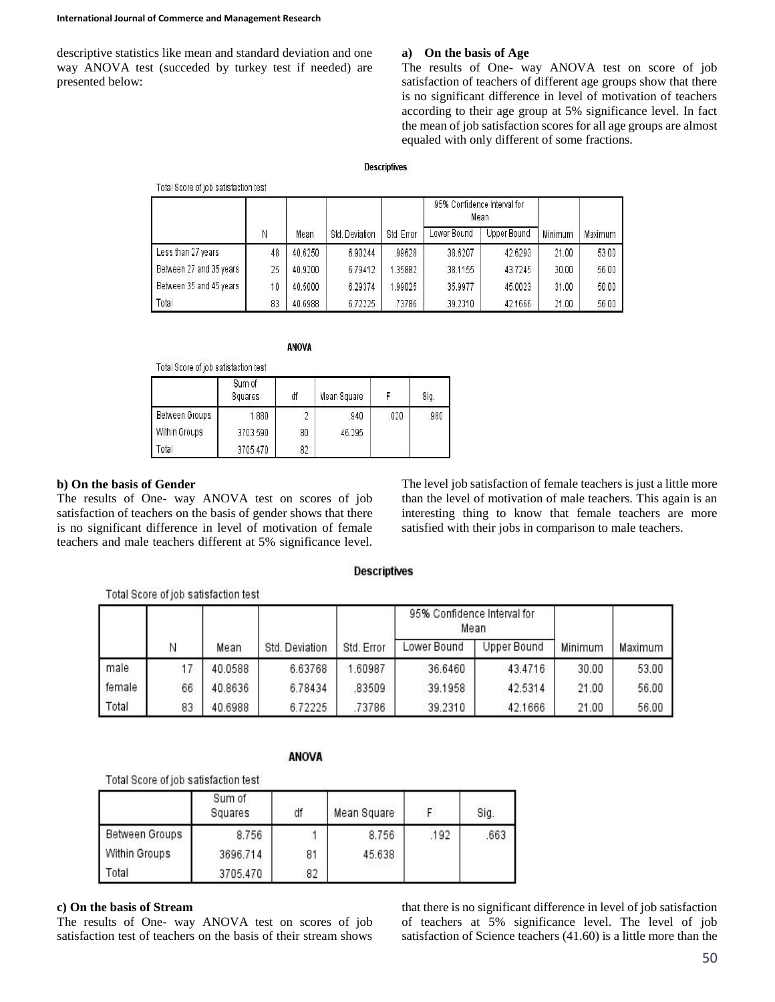descriptive statistics like mean and standard deviation and one way ANOVA test (succeded by turkey test if needed) are presented below:

Total Repro of inh entiefaction toet

## **a) On the basis of Age**

The results of One- way ANOVA test on score of job satisfaction of teachers of different age groups show that there is no significant difference in level of motivation of teachers according to their age group at 5% significance level. In fact the mean of job satisfaction scores for all age groups are almost equaled with only different of some fractions.

## **Descriptives**

|                         |    |         |                |            | 95% Confidence Interval for<br>Mean |             |         |         |
|-------------------------|----|---------|----------------|------------|-------------------------------------|-------------|---------|---------|
|                         | Ν  | Mean    | Std. Deviation | Std. Error | Lower Bound                         | Upper Bound | Minimum | Maximum |
| Less than 27 years      | 48 | 40.6250 | 6.90244        | 99628      | 38.6207                             | 42.6293     | 21.00   | 53.00   |
| Between 27 and 35 years | 25 | 40.9200 | 6.79412        | .35882     | 38,1155                             | 43.7245     | 30.00   | 56.00   |
| Between 35 and 45 years | 10 | 40,5000 | 6.29374        | 1.99025    | 35.9977                             | 45.0023     | 31.00   | 50.00   |
| Total                   | 83 | 40.6988 | 6.72225        | .73786     | 39.2310                             | 42.1666     | 21.00   | 56.00   |

**ANOVA** 

| Total Score of job satisfaction test |  |
|--------------------------------------|--|

|                | Sum of<br>Squares | df | Mean Square |      | Sig. |
|----------------|-------------------|----|-------------|------|------|
| Between Groups | 1.880             |    | .940        | .020 | .980 |
| Within Groups  | 3703.590          | 80 | 46.295      |      |      |
| Total          | 3705.470          | 82 |             |      |      |

## **b) On the basis of Gender**

The results of One- way ANOVA test on scores of job satisfaction of teachers on the basis of gender shows that there is no significant difference in level of motivation of female teachers and male teachers different at 5% significance level.

The level job satisfaction of female teachers is just a little more than the level of motivation of male teachers. This again is an interesting thing to know that female teachers are more satisfied with their jobs in comparison to male teachers.

## **Descriptives**

|        |    |         |                |            | 95% Confidence Interval for<br>Mean |             |         |         |
|--------|----|---------|----------------|------------|-------------------------------------|-------------|---------|---------|
|        |    | Mean    | Std. Deviation | Std. Error | Lower Bound                         | Upper Bound | Minimum | Maximum |
| male   |    | 40.0588 | 6.63768        | 1.60987    | 36.6460                             | 43.4716     | 30.00   | 53.00   |
| female | 66 | 40.8636 | 6.78434        | 83509      | 39.1958                             | 42.5314     | 21.00   | 56.00   |
| Total  | 83 | 40.6988 | 6.72225        | 73786      | 39.2310                             | 42.1666     | 21.00   | 56.00   |

## **ANOVA**

Total Score of job satisfaction test

Total Score of iob satisfaction test

|                | Sum of<br>Squares | df | Mean Square |      | Sig. |
|----------------|-------------------|----|-------------|------|------|
| Between Groups | 8.756             |    | 8.756       | .192 | .663 |
| Within Groups  | 3696.714          | 81 | 45.638      |      |      |
| Total          | 3705.470          | 82 |             |      |      |

## **c) On the basis of Stream**

The results of One- way ANOVA test on scores of job satisfaction test of teachers on the basis of their stream shows

that there is no significant difference in level of job satisfaction of teachers at 5% significance level. The level of job satisfaction of Science teachers (41.60) is a little more than the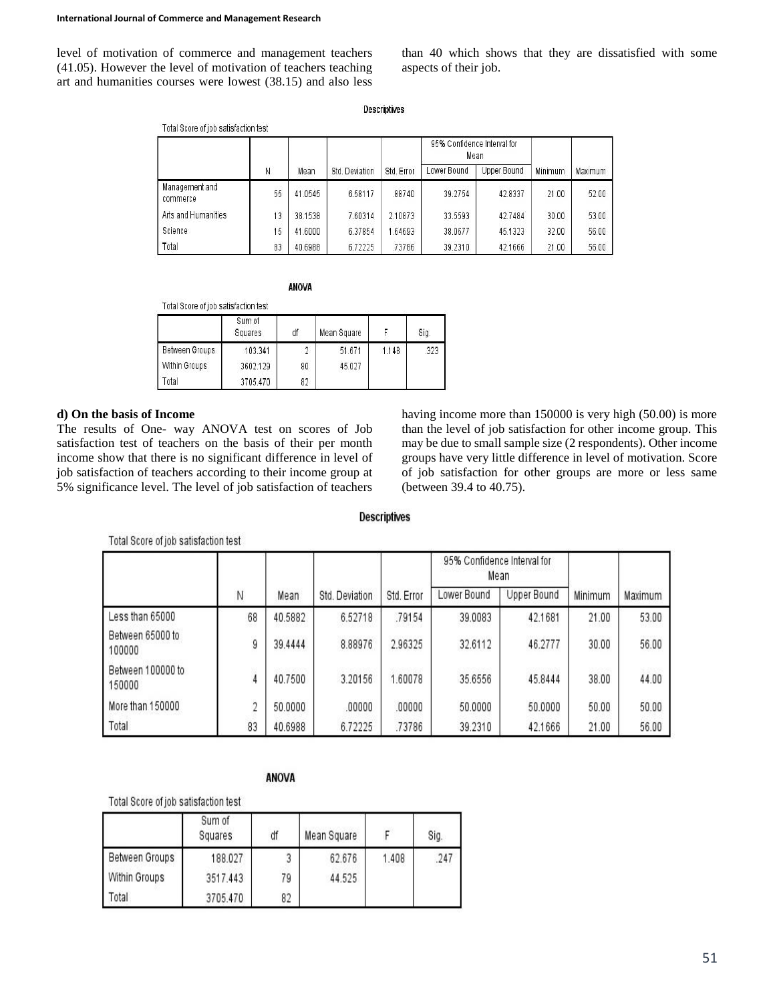level of motivation of commerce and management teachers (41.05). However the level of motivation of teachers teaching art and humanities courses were lowest (38.15) and also less

than 40 which shows that they are dissatisfied with some aspects of their job.

| Descriptives |  |
|--------------|--|
|              |  |
|              |  |

| Total Score of job satisfaction test |    |         |                |            | 95% Confidence Interval for | Mean        |         |         |
|--------------------------------------|----|---------|----------------|------------|-----------------------------|-------------|---------|---------|
|                                      | И  | Mean    | Std. Deviation | Std. Error | Lower Bound                 | Upper Bound | Minimum | Maximum |
| Management and<br>commerce           | 55 | 41.0545 | 6.58117        | 88740      | 39.2754                     | 42.8337     | 21.00   | 52.00   |
| Arts and Humanities                  | 13 | 38.1538 | 7.60314        | 2.10873    | 33.5593                     | 42.7484     | 30.00   | 53.00   |
| <b>Science</b>                       | 15 | 41,6000 | 6.37854        | 1.64693    | 38.0677                     | 45.1323     | 32.00   | 56.00   |
| Total                                | 83 | 40.6988 | 6.72225        | .73786     | 39.2310                     | 42.1666     | 21.00   | 56.00   |

**ANOVA** 

| i uldi olure ui iuu salisialliui lest |                   |    |             |       |      |
|---------------------------------------|-------------------|----|-------------|-------|------|
|                                       | Sum of<br>Squares | df | Mean Square |       | Sig. |
| Between Groups                        | 103.341           |    | 51.671      | 1.148 | .323 |
| Within Groups                         | 3602.129          | 80 | 45.027      |       |      |
| Total                                 | 3705.470          | 82 |             |       |      |

## **d) On the basis of Income**

The results of One- way ANOVA test on scores of Job satisfaction test of teachers on the basis of their per month income show that there is no significant difference in level of job satisfaction of teachers according to their income group at 5% significance level. The level of job satisfaction of teachers

Total Occupantials and official and the

having income more than 150000 is very high (50.00) is more than the level of job satisfaction for other income group. This may be due to small sample size (2 respondents). Other income groups have very little difference in level of motivation. Score of job satisfaction for other groups are more or less same (between 39.4 to 40.75).

#### **Descriptives**

|                             |                |         |                |            | 95% Confidence Interval for<br>Mean |             |         |         |
|-----------------------------|----------------|---------|----------------|------------|-------------------------------------|-------------|---------|---------|
|                             | Ν              | Mean    | Std. Deviation | Std. Error | Lower Bound                         | Upper Bound | Minimum | Maximum |
| Less than 65000             | 68             | 40.5882 | 6.52718        | .79154     | 39.0083                             | 42.1681     | 21.00   | 53.00   |
| Between 65000 to<br>100000  | ġ              | 39.4444 | 8.88976        | 2.96325    | 32.6112                             | 46.2777     | 30.00   | 56.00   |
| Between 100000 to<br>150000 | $\frac{1}{4}$  | 40.7500 | 3.20156        | 1.60078    | 35.6556                             | 45.8444     | 38.00   | 44.00   |
| More than 150000            | $\overline{c}$ | 50.0000 | .00000         | .00000     | 50.0000                             | 50.0000     | 50.00   | 50.00   |
| Total                       | 83             | 40.6988 | 6.72225        | .73786     | 39.2310                             | 42.1666     | 21.00   | 56.00   |

# **ANOVA**

Total Score of job satisfaction test

Total Score of job satisfaction test

|                | Sum of<br>Squares | df | Mean Square |       | Sig. |
|----------------|-------------------|----|-------------|-------|------|
| Between Groups | 188.027           |    | 62.676      | 1.408 | .247 |
| Within Groups  | 3517.443          | 79 | 44.525      |       |      |
| Total          | 3705.470          | 82 |             |       |      |